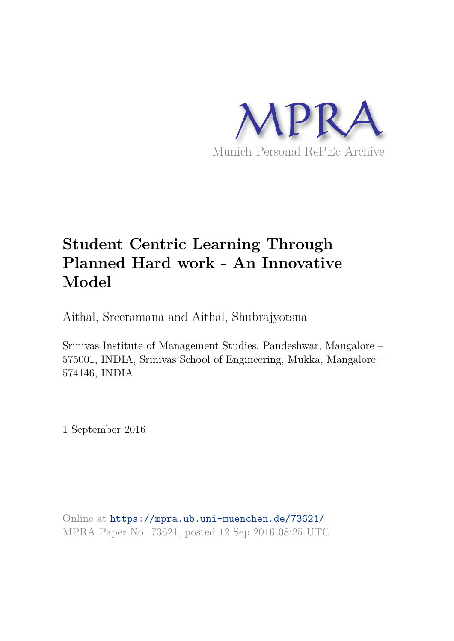

# **Student Centric Learning Through Planned Hard work - An Innovative Model**

Aithal, Sreeramana and Aithal, Shubrajyotsna

Srinivas Institute of Management Studies, Pandeshwar, Mangalore – 575001, INDIA, Srinivas School of Engineering, Mukka, Mangalore – 574146, INDIA

1 September 2016

Online at https://mpra.ub.uni-muenchen.de/73621/ MPRA Paper No. 73621, posted 12 Sep 2016 08:25 UTC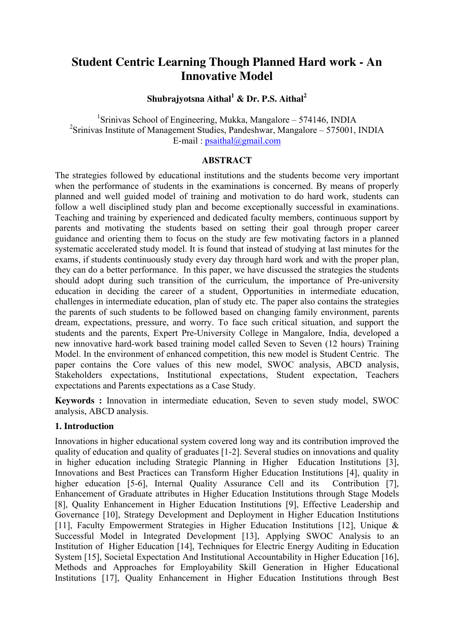## **Student Centric Learning Though Planned Hard work - An Innovative Model**

**Shubrajyotsna Aithal<sup>1</sup> & Dr. P.S. Aithal<sup>2</sup>** 

<sup>1</sup>Srinivas School of Engineering, Mukka, Mangalore – 574146, INDIA <sup>2</sup>Srinivas Institute of Management Studies, Pandeshwar, Mangalore - 575001, INDIA E-mail:  $psaithal@gmail.com$ 

#### **ABSTRACT**

The strategies followed by educational institutions and the students become very important when the performance of students in the examinations is concerned. By means of properly planned and well guided model of training and motivation to do hard work, students can follow a well disciplined study plan and become exceptionally successful in examinations. Teaching and training by experienced and dedicated faculty members, continuous support by parents and motivating the students based on setting their goal through proper career guidance and orienting them to focus on the study are few motivating factors in a planned systematic accelerated study model. It is found that instead of studying at last minutes for the exams, if students continuously study every day through hard work and with the proper plan, they can do a better performance. In this paper, we have discussed the strategies the students should adopt during such transition of the curriculum, the importance of Pre-university education in deciding the career of a student, Opportunities in intermediate education, challenges in intermediate education, plan of study etc. The paper also contains the strategies the parents of such students to be followed based on changing family environment, parents dream, expectations, pressure, and worry. To face such critical situation, and support the students and the parents, Expert Pre-University College in Mangalore, India, developed a new innovative hard-work based training model called Seven to Seven (12 hours) Training Model. In the environment of enhanced competition, this new model is Student Centric. The paper contains the Core values of this new model, SWOC analysis, ABCD analysis, Stakeholders expectations, Institutional expectations, Student expectation, Teachers expectations and Parents expectations as a Case Study.

**Keywords :** Innovation in intermediate education, Seven to seven study model, SWOC analysis, ABCD analysis.

#### **1. Introduction**

Innovations in higher educational system covered long way and its contribution improved the quality of education and quality of graduates [1-2]. Several studies on innovations and quality in higher education including Strategic Planning in Higher Education Institutions [3], Innovations and Best Practices can Transform Higher Education Institutions [4], quality in higher education [5-6], Internal Quality Assurance Cell and its Contribution [7], Enhancement of Graduate attributes in Higher Education Institutions through Stage Models [8], Quality Enhancement in Higher Education Institutions [9], Effective Leadership and Governance [10], Strategy Development and Deployment in Higher Education Institutions [11], Faculty Empowerment Strategies in Higher Education Institutions [12], Unique & Successful Model in Integrated Development [13], Applying SWOC Analysis to an Institution of Higher Education [14], Techniques for Electric Energy Auditing in Education System [15], Societal Expectation And Institutional Accountability in Higher Education [16], Methods and Approaches for Employability Skill Generation in Higher Educational Institutions [17], Quality Enhancement in Higher Education Institutions through Best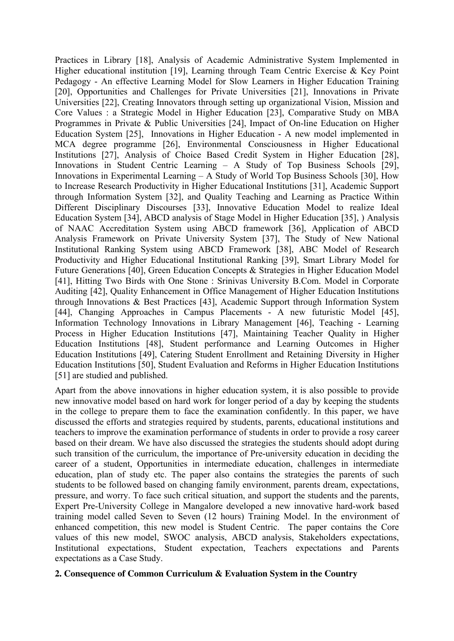Practices in Library [18], Analysis of Academic Administrative System Implemented in Higher educational institution [19], Learning through Team Centric Exercise & Key Point Pedagogy - An effective Learning Model for Slow Learners in Higher Education Training [20], Opportunities and Challenges for Private Universities [21], Innovations in Private Universities [22], Creating Innovators through setting up organizational Vision, Mission and Core Values : a Strategic Model in Higher Education [23], Comparative Study on MBA Programmes in Private & Public Universities [24], Impact of On-line Education on Higher Education System [25], Innovations in Higher Education - A new model implemented in MCA degree programme [26], Environmental Consciousness in Higher Educational Institutions [27], Analysis of Choice Based Credit System in Higher Education [28], Innovations in Student Centric Learning – A Study of Top Business Schools [29], Innovations in Experimental Learning – A Study of World Top Business Schools [30], How to Increase Research Productivity in Higher Educational Institutions [31], Academic Support through Information System [32], and Quality Teaching and Learning as Practice Within Different Disciplinary Discourses [33], Innovative Education Model to realize Ideal Education System [34], ABCD analysis of Stage Model in Higher Education [35], ) Analysis of NAAC Accreditation System using ABCD framework [36], Application of ABCD Analysis Framework on Private University System [37], The Study of New National Institutional Ranking System using ABCD Framework [38], ABC Model of Research Productivity and Higher Educational Institutional Ranking [39], Smart Library Model for Future Generations [40], Green Education Concepts & Strategies in Higher Education Model [41], Hitting Two Birds with One Stone : Srinivas University B.Com. Model in Corporate Auditing [42], Quality Enhancement in Office Management of Higher Education Institutions through Innovations & Best Practices [43], Academic Support through Information System [44], Changing Approaches in Campus Placements - A new futuristic Model [45], Information Technology Innovations in Library Management [46], Teaching - Learning Process in Higher Education Institutions [47], Maintaining Teacher Quality in Higher Education Institutions [48], Student performance and Learning Outcomes in Higher Education Institutions [49], Catering Student Enrollment and Retaining Diversity in Higher Education Institutions [50], Student Evaluation and Reforms in Higher Education Institutions [51] are studied and published.

Apart from the above innovations in higher education system, it is also possible to provide new innovative model based on hard work for longer period of a day by keeping the students in the college to prepare them to face the examination confidently. In this paper, we have discussed the efforts and strategies required by students, parents, educational institutions and teachers to improve the examination performance of students in order to provide a rosy career based on their dream. We have also discussed the strategies the students should adopt during such transition of the curriculum, the importance of Pre-university education in deciding the career of a student, Opportunities in intermediate education, challenges in intermediate education, plan of study etc. The paper also contains the strategies the parents of such students to be followed based on changing family environment, parents dream, expectations, pressure, and worry. To face such critical situation, and support the students and the parents, Expert Pre-University College in Mangalore developed a new innovative hard-work based training model called Seven to Seven (12 hours) Training Model. In the environment of enhanced competition, this new model is Student Centric. The paper contains the Core values of this new model, SWOC analysis, ABCD analysis, Stakeholders expectations, Institutional expectations, Student expectation, Teachers expectations and Parents expectations as a Case Study.

#### **2. Consequence of Common Curriculum & Evaluation System in the Country**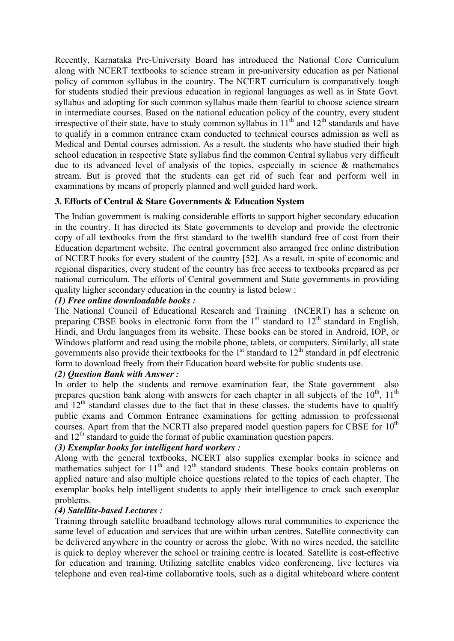Recently, Karnataka Pre-University Board has introduced the National Core Curriculum along with NCERT textbooks to science stream in pre-university education as per National policy of common syllabus in the country. The NCERT curriculum is comparatively tough for students studied their previous education in regional languages as well as in State Govt. syllabus and adopting for such common syllabus made them fearful to choose science stream in intermediate courses. Based on the national education policy of the country, every student irrespective of their state, have to study common syllabus in  $11<sup>th</sup>$  and  $12<sup>th</sup>$  standards and have to qualify in a common entrance exam conducted to technical courses admission as well as Medical and Dental courses admission. As a result, the students who have studied their high school education in respective State syllabus find the common Central syllabus very difficult due to its advanced level of analysis of the topics, especially in science & mathematics stream. But is proved that the students can get rid of such fear and perform well in examinations by means of properly planned and well guided hard work.

#### **3. Efforts of Central & Stare Governments & Education System**

The Indian government is making considerable efforts to support higher secondary education in the country. It has directed its State governments to develop and provide the electronic copy of all textbooks from the first standard to the twelfth standard free of cost from their Education department website. The central government also arranged free online distribution of NCERT books for every student of the country [52]. As a result, in spite of economic and regional disparities, every student of the country has free access to textbooks prepared as per national curriculum. The efforts of Central government and State governments in providing quality higher secondary education in the country is listed below :

#### *(1) Free online downloadable books :*

The National Council of Educational Research and Training (NCERT) has a scheme on preparing CBSE books in electronic form from the 1<sup>st</sup> standard to 12<sup>th</sup> standard in English, Hindi, and Urdu languages from its website. These books can be stored in Android, IOP, or Windows platform and read using the mobile phone, tablets, or computers. Similarly, all state governments also provide their textbooks for the  $1<sup>st</sup>$  standard to  $12<sup>th</sup>$  standard in pdf electronic form to download freely from their Education board website for public students use.

#### *(2) Question Bank with Answer :*

In order to help the students and remove examination fear, the State government also prepares question bank along with answers for each chapter in all subjects of the  $10^{th}$ ,  $11^{th}$ and  $12<sup>th</sup>$  standard classes due to the fact that in these classes, the students have to qualify public exams and Common Entrance examinations for getting admission to professional courses. Apart from that the NCRTI also prepared model question papers for CBSE for  $10<sup>th</sup>$ and  $12<sup>th</sup>$  standard to guide the format of public examination question papers.

#### *(3) Exemplar books for intelligent hard workers :*

Along with the general textbooks, NCERT also supplies exemplar books in science and mathematics subject for  $11<sup>th</sup>$  and  $12<sup>th</sup>$  standard students. These books contain problems on applied nature and also multiple choice questions related to the topics of each chapter. The exemplar books help intelligent students to apply their intelligence to crack such exemplar problems.

#### *(4) Satellite-based Lectures :*

Training through satellite broadband technology allows rural communities to experience the same level of education and services that are within urban centres. Satellite connectivity can be delivered anywhere in the country or across the globe. With no wires needed, the satellite is quick to deploy wherever the school or training centre is located. Satellite is cost-effective for education and training. Utilizing satellite enables video conferencing, live lectures via telephone and even real-time collaborative tools, such as a digital whiteboard where content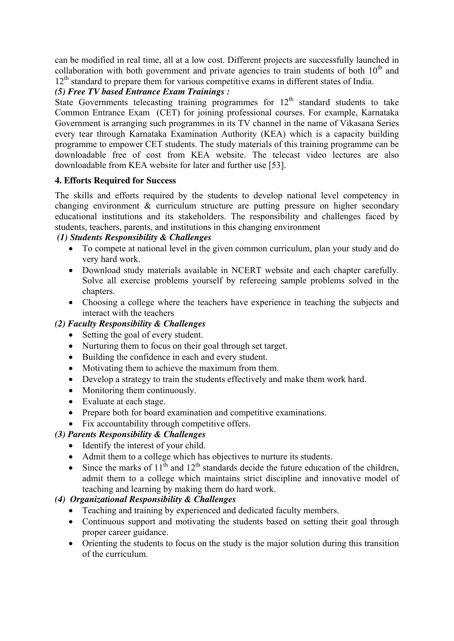can be modified in real time, all at a low cost. Different projects are successfully launched in collaboration with both government and private agencies to train students of both  $10<sup>th</sup>$  and  $12<sup>th</sup>$  standard to prepare them for various competitive exams in different states of India.

## *(5) Free TV based Entrance Exam Trainings :*

State Governments telecasting training programmes for  $12<sup>th</sup>$  standard students to take Common Entrance Exam (CET) for joining professional courses. For example, Karnataka Government is arranging such programmes in its TV channel in the name of Vikasana Series every tear through Karnataka Examination Authority (KEA) which is a capacity building programme to empower CET students. The study materials of this training programme can be downloadable free of cost from KEA website. The telecast video lectures are also downloadable from KEA website for later and further use [53].

## **4. Efforts Required for Success**

The skills and efforts required by the students to develop national level competency in changing environment & curriculum structure are putting pressure on higher secondary educational institutions and its stakeholders. The responsibility and challenges faced by students, teachers, parents, and institutions in this changing environment

## *(1) Students Responsibility & Challenges*

- To compete at national level in the given common curriculum, plan your study and do very hard work.
- Download study materials available in NCERT website and each chapter carefully. Solve all exercise problems yourself by refereeing sample problems solved in the chapters.
- Choosing a college where the teachers have experience in teaching the subjects and interact with the teachers

## *(2) Faculty Responsibility & Challenges*

- Setting the goal of every student.
- Nurturing them to focus on their goal through set target.
- Building the confidence in each and every student.
- Motivating them to achieve the maximum from them.
- Develop a strategy to train the students effectively and make them work hard.
- Monitoring them continuously.
- Evaluate at each stage.
- Prepare both for board examination and competitive examinations.
- Fix accountability through competitive offers.

## *(3) Parents Responsibility & Challenges*

- Identify the interest of your child.
- Admit them to a college which has objectives to nurture its students.
- Since the marks of  $11<sup>th</sup>$  and  $12<sup>th</sup>$  standards decide the future education of the children. admit them to a college which maintains strict discipline and innovative model of teaching and learning by making them do hard work.

## *(4) Organizational Responsibility & Challenges*

- Teaching and training by experienced and dedicated faculty members.
- Continuous support and motivating the students based on setting their goal through proper career guidance.
- Orienting the students to focus on the study is the major solution during this transition of the curriculum.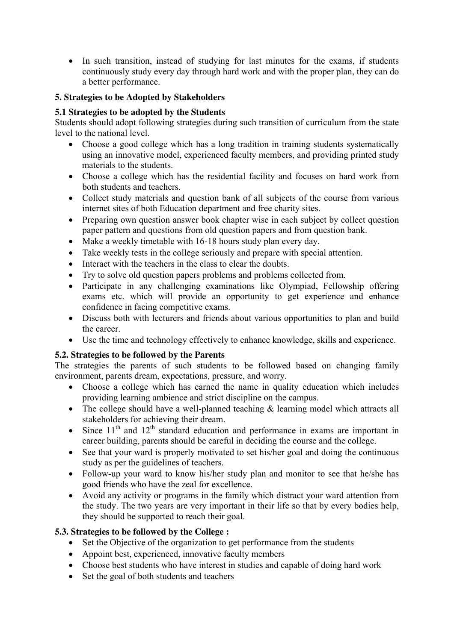• In such transition, instead of studying for last minutes for the exams, if students continuously study every day through hard work and with the proper plan, they can do a better performance.

## **5. Strategies to be Adopted by Stakeholders**

## **5.1 Strategies to be adopted by the Students**

Students should adopt following strategies during such transition of curriculum from the state level to the national level.

- Choose a good college which has a long tradition in training students systematically using an innovative model, experienced faculty members, and providing printed study materials to the students.
- Choose a college which has the residential facility and focuses on hard work from both students and teachers.
- Collect study materials and question bank of all subjects of the course from various internet sites of both Education department and free charity sites.
- Preparing own question answer book chapter wise in each subject by collect question paper pattern and questions from old question papers and from question bank.
- Make a weekly timetable with 16-18 hours study plan every day.
- Take weekly tests in the college seriously and prepare with special attention.
- Interact with the teachers in the class to clear the doubts.
- Try to solve old question papers problems and problems collected from.
- Participate in any challenging examinations like Olympiad, Fellowship offering exams etc. which will provide an opportunity to get experience and enhance confidence in facing competitive exams.
- Discuss both with lecturers and friends about various opportunities to plan and build the career.
- Use the time and technology effectively to enhance knowledge, skills and experience.

## **5.2. Strategies to be followed by the Parents**

The strategies the parents of such students to be followed based on changing family environment, parents dream, expectations, pressure, and worry.

- Choose a college which has earned the name in quality education which includes providing learning ambience and strict discipline on the campus.
- The college should have a well-planned teaching & learning model which attracts all stakeholders for achieving their dream.
- $\bullet$  Since 11<sup>th</sup> and 12<sup>th</sup> standard education and performance in exams are important in career building, parents should be careful in deciding the course and the college.
- See that your ward is properly motivated to set his/her goal and doing the continuous study as per the guidelines of teachers.
- Follow-up your ward to know his/her study plan and monitor to see that he/she has good friends who have the zeal for excellence.
- Avoid any activity or programs in the family which distract your ward attention from the study. The two years are very important in their life so that by every bodies help, they should be supported to reach their goal.

## **5.3. Strategies to be followed by the College :**

- Set the Objective of the organization to get performance from the students
- Appoint best, experienced, innovative faculty members
- Choose best students who have interest in studies and capable of doing hard work
- Set the goal of both students and teachers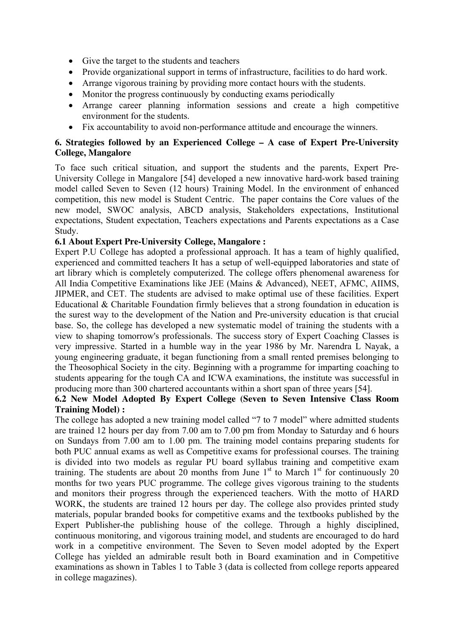- Give the target to the students and teachers
- Provide organizational support in terms of infrastructure, facilities to do hard work.
- Arrange vigorous training by providing more contact hours with the students.
- Monitor the progress continuously by conducting exams periodically
- Arrange career planning information sessions and create a high competitive environment for the students.
- Fix accountability to avoid non-performance attitude and encourage the winners.

#### **6. Strategies followed by an Experienced College – A case of Expert Pre-University College, Mangalore**

To face such critical situation, and support the students and the parents, Expert Pre-University College in Mangalore [54] developed a new innovative hard-work based training model called Seven to Seven (12 hours) Training Model. In the environment of enhanced competition, this new model is Student Centric. The paper contains the Core values of the new model, SWOC analysis, ABCD analysis, Stakeholders expectations, Institutional expectations, Student expectation, Teachers expectations and Parents expectations as a Case Study.

#### **6.1 About Expert Pre-University College, Mangalore :**

Expert P.U College has adopted a professional approach. It has a team of highly qualified, experienced and committed teachers It has a setup of well-equipped laboratories and state of art library which is completely computerized. The college offers phenomenal awareness for All India Competitive Examinations like JEE (Mains & Advanced), NEET, AFMC, AIIMS, JIPMER, and CET. The students are advised to make optimal use of these facilities. Expert Educational & Charitable Foundation firmly believes that a strong foundation in education is the surest way to the development of the Nation and Pre-university education is that crucial base. So, the college has developed a new systematic model of training the students with a view to shaping tomorrow's professionals. The success story of Expert Coaching Classes is very impressive. Started in a humble way in the year 1986 by Mr. Narendra L Nayak, a young engineering graduate, it began functioning from a small rented premises belonging to the Theosophical Society in the city. Beginning with a programme for imparting coaching to students appearing for the tough CA and ICWA examinations, the institute was successful in producing more than 300 chartered accountants within a short span of three years [54].

#### **6.2 New Model Adopted By Expert College (Seven to Seven Intensive Class Room Training Model) :**

The college has adopted a new training model called "7 to 7 model" where admitted students are trained 12 hours per day from 7.00 am to 7.00 pm from Monday to Saturday and 6 hours on Sundays from 7.00 am to 1.00 pm. The training model contains preparing students for both PUC annual exams as well as Competitive exams for professional courses. The training is divided into two models as regular PU board syllabus training and competitive exam training. The students are about 20 months from June  $1<sup>st</sup>$  to March  $1<sup>st</sup>$  for continuously 20 months for two years PUC programme. The college gives vigorous training to the students and monitors their progress through the experienced teachers. With the motto of HARD WORK, the students are trained 12 hours per day. The college also provides printed study materials, popular branded books for competitive exams and the textbooks published by the Expert Publisher-the publishing house of the college. Through a highly disciplined, continuous monitoring, and vigorous training model, and students are encouraged to do hard work in a competitive environment. The Seven to Seven model adopted by the Expert College has yielded an admirable result both in Board examination and in Competitive examinations as shown in Tables 1 to Table 3 (data is collected from college reports appeared in college magazines).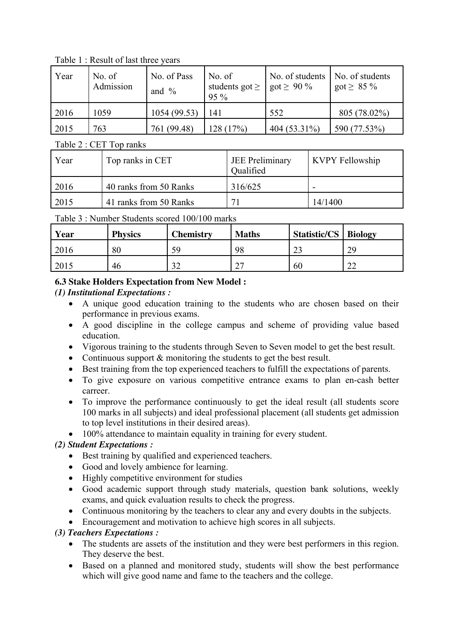Year No. of Admission No. of Pass and % No. of students got  $\geq$ 95 % No. of students got  $\geq 90\%$ No. of students got  $\geq 85\%$ 2016 1059 1054 (99.53) 141 552 805 (78.02%) 2015 763 761 (99.48) 128 (17%) 404 (53.31%) 590 (77.53%)

Table 1 : Result of last three years

Table 2 : CET Top ranks

| Year | Top ranks in CET       | JEE Preliminary<br>Qualified | <b>KVPY Fellowship</b> |
|------|------------------------|------------------------------|------------------------|
| 2016 | 40 ranks from 50 Ranks | 316/625                      |                        |
| 2015 | 41 ranks from 50 Ranks |                              | 14/1400                |

Table 3 : Number Students scored 100/100 marks

| Year | <b>Physics</b> | <b>Chemistry</b> | <b>Maths</b>       | <b>Statistic/CS</b>   Biology |    |
|------|----------------|------------------|--------------------|-------------------------------|----|
| 2016 | 80             | 59               | 98                 | ാ<br>ر ے                      | 29 |
| 2015 | 46             | າາ<br>ے ر        | n <del></del><br>∼ | 60                            | ∠∠ |

## **6.3 Stake Holders Expectation from New Model :**

## *(1) Institutional Expectations :*

- A unique good education training to the students who are chosen based on their performance in previous exams.
- A good discipline in the college campus and scheme of providing value based education.
- Vigorous training to the students through Seven to Seven model to get the best result.
- Continuous support  $\&$  monitoring the students to get the best result.
- Best training from the top experienced teachers to fulfill the expectations of parents.
- To give exposure on various competitive entrance exams to plan en-cash better carreer.
- To improve the performance continuously to get the ideal result (all students score 100 marks in all subjects) and ideal professional placement (all students get admission to top level institutions in their desired areas).
- 100% attendance to maintain equality in training for every student.

## *(2) Student Expectations :*

- Best training by qualified and experienced teachers.
- Good and lovely ambience for learning.
- Highly competitive environment for studies
- Good academic support through study materials, question bank solutions, weekly exams, and quick evaluation results to check the progress.
- Continuous monitoring by the teachers to clear any and every doubts in the subjects.
- Encouragement and motivation to achieve high scores in all subjects.

## *(3) Teachers Expectations :*

- The students are assets of the institution and they were best performers in this region. They deserve the best.
- Based on a planned and monitored study, students will show the best performance which will give good name and fame to the teachers and the college.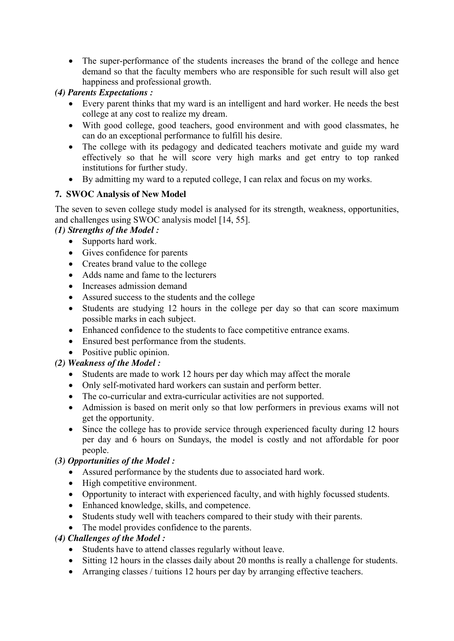• The super-performance of the students increases the brand of the college and hence demand so that the faculty members who are responsible for such result will also get happiness and professional growth.

## *(4) Parents Expectations :*

- Every parent thinks that my ward is an intelligent and hard worker. He needs the best college at any cost to realize my dream.
- With good college, good teachers, good environment and with good classmates, he can do an exceptional performance to fulfill his desire.
- The college with its pedagogy and dedicated teachers motivate and guide my ward effectively so that he will score very high marks and get entry to top ranked institutions for further study.
- By admitting my ward to a reputed college, I can relax and focus on my works.

## **7. SWOC Analysis of New Model**

The seven to seven college study model is analysed for its strength, weakness, opportunities, and challenges using SWOC analysis model [14, 55].

## *(1) Strengths of the Model :*

- Supports hard work.
- Gives confidence for parents
- Creates brand value to the college
- Adds name and fame to the lecturers
- Increases admission demand
- Assured success to the students and the college
- Students are studying 12 hours in the college per day so that can score maximum possible marks in each subject.
- Enhanced confidence to the students to face competitive entrance exams.
- Ensured best performance from the students.
- Positive public opinion.

## *(2) Weakness of the Model :*

- Students are made to work 12 hours per day which may affect the morale
- Only self-motivated hard workers can sustain and perform better.
- The co-curricular and extra-curricular activities are not supported.
- Admission is based on merit only so that low performers in previous exams will not get the opportunity.
- Since the college has to provide service through experienced faculty during 12 hours per day and 6 hours on Sundays, the model is costly and not affordable for poor people.

#### *(3) Opportunities of the Model :*

- Assured performance by the students due to associated hard work.
- High competitive environment.
- Opportunity to interact with experienced faculty, and with highly focussed students.
- Enhanced knowledge, skills, and competence.
- Students study well with teachers compared to their study with their parents.
- The model provides confidence to the parents.

## *(4) Challenges of the Model :*

- Students have to attend classes regularly without leave.
- Sitting 12 hours in the classes daily about 20 months is really a challenge for students.
- Arranging classes / tuitions 12 hours per day by arranging effective teachers.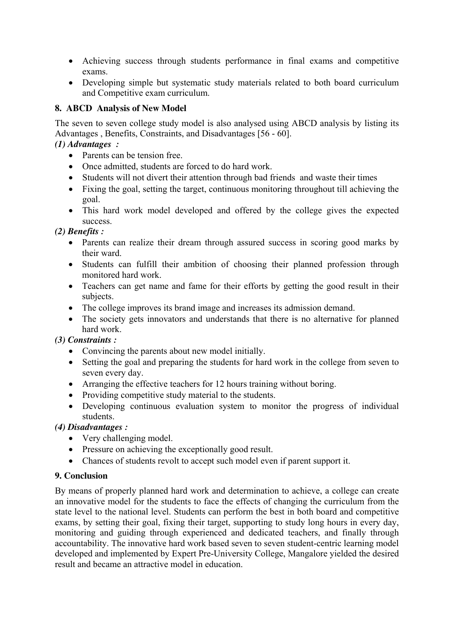- Achieving success through students performance in final exams and competitive exams.
- Developing simple but systematic study materials related to both board curriculum and Competitive exam curriculum.

## **8. ABCD Analysis of New Model**

The seven to seven college study model is also analysed using ABCD analysis by listing its Advantages , Benefits, Constraints, and Disadvantages [56 - 60].

## *(1) Advantages :*

- Parents can be tension free.
- Once admitted, students are forced to do hard work.
- Students will not divert their attention through bad friends and waste their times
- Fixing the goal, setting the target, continuous monitoring throughout till achieving the goal.
- This hard work model developed and offered by the college gives the expected success.

## *(2) Benefits :*

- Parents can realize their dream through assured success in scoring good marks by their ward.
- Students can fulfill their ambition of choosing their planned profession through monitored hard work.
- Teachers can get name and fame for their efforts by getting the good result in their subjects.
- The college improves its brand image and increases its admission demand.
- The society gets innovators and understands that there is no alternative for planned hard work.

## *(3) Constraints :*

- Convincing the parents about new model initially.
- Setting the goal and preparing the students for hard work in the college from seven to seven every day.
- Arranging the effective teachers for 12 hours training without boring.
- Providing competitive study material to the students.
- Developing continuous evaluation system to monitor the progress of individual students.

#### *(4) Disadvantages :*

- Very challenging model.
- Pressure on achieving the exceptionally good result.
- Chances of students revolt to accept such model even if parent support it.

## **9. Conclusion**

By means of properly planned hard work and determination to achieve, a college can create an innovative model for the students to face the effects of changing the curriculum from the state level to the national level. Students can perform the best in both board and competitive exams, by setting their goal, fixing their target, supporting to study long hours in every day, monitoring and guiding through experienced and dedicated teachers, and finally through accountability. The innovative hard work based seven to seven student-centric learning model developed and implemented by Expert Pre-University College, Mangalore yielded the desired result and became an attractive model in education.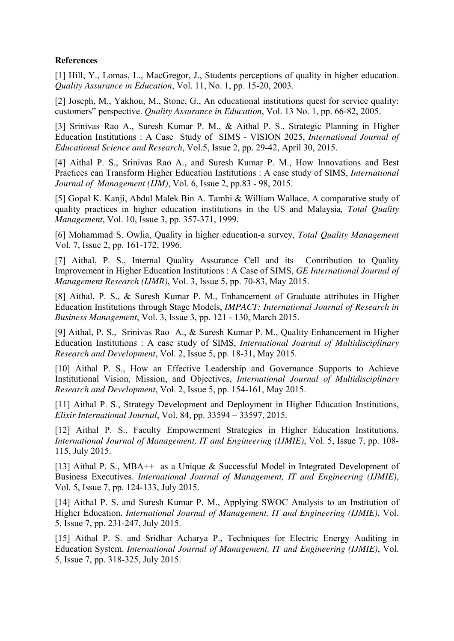#### **References**

[1] Hill, Y., Lomas, L., MacGregor, J., Students perceptions of quality in higher education. *Quality Assurance in Education*, Vol. 11, No. 1, pp. 15-20, 2003.

[2] Joseph, M., Yakhou, M., Stone, G., An educational institutions quest for service quality: customers" perspective. *Quality Assurance in Education*, Vol. 13 No. 1, pp. 66-82, 2005.

[3] Srinivas Rao A., Suresh Kumar P. M., & Aithal P. S., Strategic Planning in Higher Education Institutions : A Case Study of SIMS - VISION 2025, *International Journal of Educational Science and Research*, Vol.5, Issue 2, pp. 29-42, April 30, 2015.

[4] Aithal P. S., Srinivas Rao A., and Suresh Kumar P. M., How Innovations and Best Practices can Transform Higher Education Institutions : A case study of SIMS, *International Journal of Management (IJM)*, Vol. 6, Issue 2, pp.83 - 98, 2015.

[5] Gopal K. Kanji, Abdul Malek Bin A. Tambi & William Wallace, A comparative study of quality practices in higher education institutions in the US and Malaysia*, Total Quality Management*, Vol. 10, Issue 3, pp. 357-371, 1999.

[6] Mohammad S. Owlia, Quality in higher education-a survey, *Total Quality Management* Vol. 7, Issue 2, pp. 161-172, 1996.

[7] Aithal, P. S., Internal Quality Assurance Cell and its Contribution to Quality Improvement in Higher Education Institutions : A Case of SIMS, *GE International Journal of Management Research (IJMR)*, Vol. 3, Issue 5, pp. 70-83, May 2015.

[8] Aithal, P. S., & Suresh Kumar P. M., Enhancement of Graduate attributes in Higher Education Institutions through Stage Models, *IMPACT: International Journal of Research in Business Management*, Vol. 3, Issue 3, pp. 121 - 130, March 2015.

[9] Aithal, P. S., Srinivas Rao A., & Suresh Kumar P. M., Quality Enhancement in Higher Education Institutions : A case study of SIMS, *International Journal of Multidisciplinary Research and Development*, Vol. 2, Issue 5, pp. 18-31, May 2015.

[10] Aithal P. S., How an Effective Leadership and Governance Supports to Achieve Institutional Vision, Mission, and Objectives, *International Journal of Multidisciplinary Research and Development*, Vol. 2, Issue 5, pp. 154-161, May 2015.

[11] Aithal P. S., Strategy Development and Deployment in Higher Education Institutions, *Elixir International Journal*, Vol. 84, pp. 33594 – 33597, 2015.

[12] Aithal P. S., Faculty Empowerment Strategies in Higher Education Institutions. *International Journal of Management, IT and Engineering (IJMIE)*, Vol. 5, Issue 7, pp. 108- 115, July 2015.

[13] Aithal P. S., MBA++ as a Unique & Successful Model in Integrated Development of Business Executives. *International Journal of Management, IT and Engineering (IJMIE)*, Vol. 5, Issue 7, pp. 124-133, July 2015.

[14] Aithal P. S. and Suresh Kumar P. M., Applying SWOC Analysis to an Institution of Higher Education. *International Journal of Management, IT and Engineering (IJMIE)*, Vol. 5, Issue 7, pp. 231-247, July 2015.

[15] Aithal P. S. and Sridhar Acharya P., Techniques for Electric Energy Auditing in Education System. *International Journal of Management, IT and Engineering (IJMIE)*, Vol. 5, Issue 7, pp. 318-325, July 2015.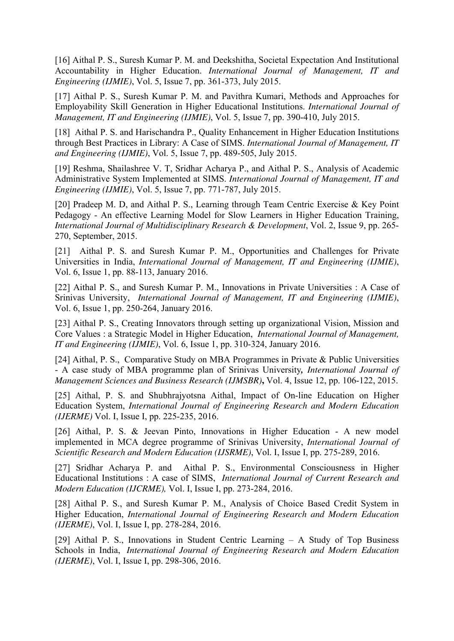[16] Aithal P. S., Suresh Kumar P. M. and Deekshitha, Societal Expectation And Institutional Accountability in Higher Education. *International Journal of Management, IT and Engineering (IJMIE)*, Vol. 5, Issue 7, pp. 361-373, July 2015.

[17] Aithal P. S., Suresh Kumar P. M. and Pavithra Kumari, Methods and Approaches for Employability Skill Generation in Higher Educational Institutions. *International Journal of Management, IT and Engineering (IJMIE)*, Vol. 5, Issue 7, pp. 390-410, July 2015.

[18] Aithal P. S. and Harischandra P., Quality Enhancement in Higher Education Institutions through Best Practices in Library: A Case of SIMS. *International Journal of Management, IT and Engineering (IJMIE)*, Vol. 5, Issue 7, pp. 489-505, July 2015.

[19] Reshma, Shailashree V. T, Sridhar Acharya P., and Aithal P. S., Analysis of Academic Administrative System Implemented at SIMS. *International Journal of Management, IT and Engineering (IJMIE)*, Vol. 5, Issue 7, pp. 771-787, July 2015.

[20] Pradeep M. D, and Aithal P. S., Learning through Team Centric Exercise & Key Point Pedagogy - An effective Learning Model for Slow Learners in Higher Education Training, *International Journal of Multidisciplinary Research & Development*, Vol. 2, Issue 9, pp. 265- 270, September, 2015.

[21] Aithal P. S. and Suresh Kumar P. M., Opportunities and Challenges for Private Universities in India, *International Journal of Management, IT and Engineering (IJMIE)*, Vol. 6, Issue 1, pp. 88-113, January 2016.

[22] Aithal P. S., and Suresh Kumar P. M., Innovations in Private Universities : A Case of Srinivas University, *International Journal of Management, IT and Engineering (IJMIE)*, Vol. 6, Issue 1, pp. 250-264, January 2016.

[23] Aithal P. S., Creating Innovators through setting up organizational Vision, Mission and Core Values : a Strategic Model in Higher Education, *International Journal of Management, IT and Engineering (IJMIE)*, Vol. 6, Issue 1, pp. 310-324, January 2016.

[24] Aithal, P. S., Comparative Study on MBA Programmes in Private & Public Universities - A case study of MBA programme plan of Srinivas University*, International Journal of Management Sciences and Business Research (IJMSBR)***,** Vol. 4, Issue 12, pp. 106-122, 2015.

[25] Aithal, P. S. and Shubhrajyotsna Aithal, Impact of On-line Education on Higher Education System, *International Journal of Engineering Research and Modern Education (IJERME)* Vol. I, Issue I, pp. 225-235, 2016.

[26] Aithal, P. S. & Jeevan Pinto, Innovations in Higher Education - A new model implemented in MCA degree programme of Srinivas University, *International Journal of Scientific Research and Modern Education (IJSRME)*, Vol. I, Issue I, pp. 275-289, 2016.

[27] Sridhar Acharya P. and Aithal P. S., Environmental Consciousness in Higher Educational Institutions : A case of SIMS, *International Journal of Current Research and Modern Education (IJCRME),* Vol. I, Issue I, pp. 273-284, 2016.

[28] Aithal P. S., and Suresh Kumar P. M., Analysis of Choice Based Credit System in Higher Education, *International Journal of Engineering Research and Modern Education (IJERME)*, Vol. I, Issue I, pp. 278-284, 2016.

[29] Aithal P. S., Innovations in Student Centric Learning – A Study of Top Business Schools in India, *International Journal of Engineering Research and Modern Education (IJERME)*, Vol. I, Issue I, pp. 298-306, 2016.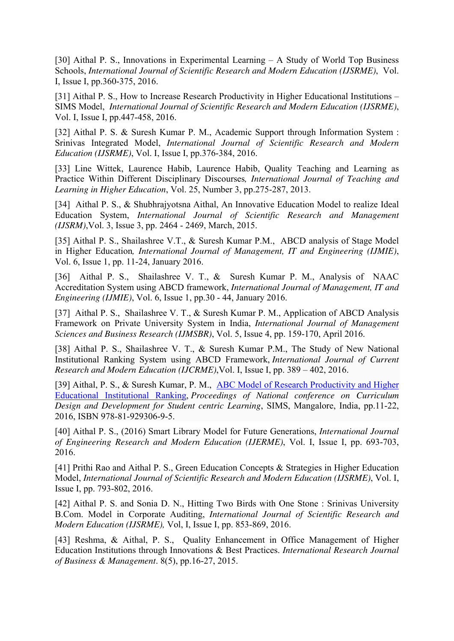[30] Aithal P. S., Innovations in Experimental Learning – A Study of World Top Business Schools, *International Journal of Scientific Research and Modern Education (IJSRME)*, Vol. I, Issue I, pp.360-375, 2016.

[31] Aithal P. S., How to Increase Research Productivity in Higher Educational Institutions – SIMS Model, *International Journal of Scientific Research and Modern Education (IJSRME)*, Vol. I, Issue I, pp.447-458, 2016.

[32] Aithal P. S. & Suresh Kumar P. M., Academic Support through Information System : Srinivas Integrated Model, *International Journal of Scientific Research and Modern Education (IJSRME)*, Vol. I, Issue I, pp.376-384, 2016.

[33] Line Wittek, Laurence Habib, Laurence Habib, Quality Teaching and Learning as Practice Within Different Disciplinary Discourses*, International Journal of Teaching and Learning in Higher Education*, Vol. 25, Number 3, pp.275-287, 2013.

[34] Aithal P. S., & Shubhrajyotsna Aithal, An Innovative Education Model to realize Ideal Education System, *International Journal of Scientific Research and Management (IJSRM)*,Vol. 3, Issue 3, pp. 2464 - 2469, March, 2015.

[35] Aithal P. S., Shailashree V.T., & Suresh Kumar P.M., ABCD analysis of Stage Model in Higher Education*, International Journal of Management, IT and Engineering (IJMIE)*, Vol. 6, Issue 1, pp. 11-24, January 2016.

[36] Aithal P. S., Shailashree V. T., & Suresh Kumar P. M., Analysis of NAAC Accreditation System using ABCD framework, *International Journal of Management, IT and Engineering (IJMIE)*, Vol. 6, Issue 1, pp.30 - 44, January 2016.

[37] Aithal P. S., Shailashree V. T., & Suresh Kumar P. M., Application of ABCD Analysis Framework on Private University System in India, *International Journal of Management Sciences and Business Research (IJMSBR)*, Vol. 5, Issue 4, pp. 159-170, April 2016.

[38] Aithal P. S., Shailashree V. T., & Suresh Kumar P.M., The Study of New National Institutional Ranking System using ABCD Framework, *International Journal of Current Research and Modern Education (IJCRME)*,Vol. I, Issue I, pp. 389 – 402, 2016.

[39] Aithal, P. S., & Suresh Kumar, P. M., ABC Model of Research Productivity and Higher Educational Institutional Ranking, *Proceedings of National conference on Curriculum Design and Development for Student centric Learning*, SIMS, Mangalore, India, pp.11-22, 2016, ISBN 978-81-929306-9-5.

[40] Aithal P. S., (2016) Smart Library Model for Future Generations, *International Journal of Engineering Research and Modern Education (IJERME)*, Vol. I, Issue I, pp. 693-703, 2016.

[41] Prithi Rao and Aithal P. S., Green Education Concepts & Strategies in Higher Education Model, *International Journal of Scientific Research and Modern Education (IJSRME)*, Vol. I, Issue I, pp. 793-802, 2016.

[42] Aithal P. S. and Sonia D. N., Hitting Two Birds with One Stone : Srinivas University B.Com. Model in Corporate Auditing, *International Journal of Scientific Research and Modern Education (IJSRME),* Vol, I, Issue I, pp. 853-869, 2016.

[43] Reshma, & Aithal, P. S., Quality Enhancement in Office Management of Higher Education Institutions through Innovations & Best Practices. *International Research Journal of Business & Management*. 8(5), pp.16-27, 2015.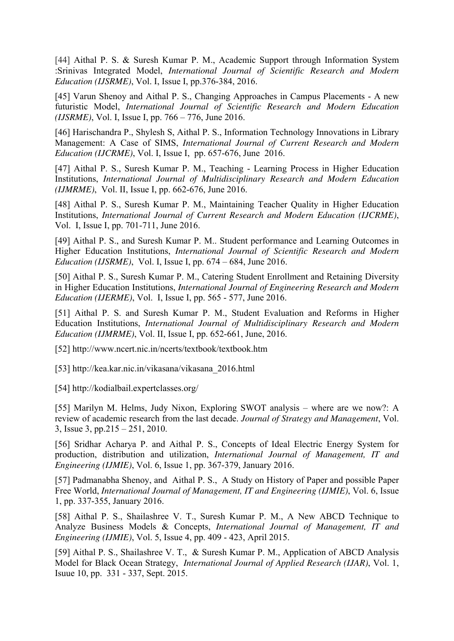[44] Aithal P. S. & Suresh Kumar P. M., Academic Support through Information System :Srinivas Integrated Model, *International Journal of Scientific Research and Modern Education (IJSRME)*, Vol. I, Issue I, pp.376-384, 2016.

[45] Varun Shenoy and Aithal P. S., Changing Approaches in Campus Placements - A new futuristic Model, *International Journal of Scientific Research and Modern Education (IJSRME)*, Vol. I, Issue I, pp. 766 – 776, June 2016.

[46] Harischandra P., Shylesh S, Aithal P. S., Information Technology Innovations in Library Management: A Case of SIMS, *International Journal of Current Research and Modern Education (IJCRME)*, Vol. I, Issue I, pp. 657-676, June 2016.

[47] Aithal P. S., Suresh Kumar P. M., Teaching - Learning Process in Higher Education Institutions, *International Journal of Multidisciplinary Research and Modern Education (IJMRME)*, Vol. II, Issue I, pp. 662-676, June 2016.

[48] Aithal P. S., Suresh Kumar P. M., Maintaining Teacher Quality in Higher Education Institutions, *International Journal of Current Research and Modern Education (IJCRME)*, Vol. I, Issue I, pp. 701-711, June 2016.

[49] Aithal P. S., and Suresh Kumar P. M.. Student performance and Learning Outcomes in Higher Education Institutions, *International Journal of Scientific Research and Modern Education (IJSRME)*, Vol. I, Issue I, pp. 674 – 684, June 2016.

[50] Aithal P. S., Suresh Kumar P. M., Catering Student Enrollment and Retaining Diversity in Higher Education Institutions, *International Journal of Engineering Research and Modern Education (IJERME)*, Vol. I, Issue I, pp. 565 - 577, June 2016.

[51] Aithal P. S. and Suresh Kumar P. M., Student Evaluation and Reforms in Higher Education Institutions, *International Journal of Multidisciplinary Research and Modern Education (IJMRME)*, Vol. II, Issue I, pp. 652-661, June, 2016.

[52] http://www.ncert.nic.in/ncerts/textbook/textbook.htm

[53] http://kea.kar.nic.in/vikasana/vikasana\_2016.html

[54] http://kodialbail.expertclasses.org/

[55] Marilyn M. Helms, Judy Nixon, Exploring SWOT analysis – where are we now?: A review of academic research from the last decade. *Journal of Strategy and Management*, Vol. 3, Issue 3, pp.215 – 251, 2010.

[56] Sridhar Acharya P. and Aithal P. S., Concepts of Ideal Electric Energy System for production, distribution and utilization, *International Journal of Management, IT and Engineering (IJMIE)*, Vol. 6, Issue 1, pp. 367-379, January 2016.

[57] Padmanabha Shenoy, and Aithal P. S., A Study on History of Paper and possible Paper Free World, *International Journal of Management, IT and Engineering (IJMIE)*, Vol. 6, Issue 1, pp. 337-355, January 2016.

[58] Aithal P. S., Shailashree V. T., Suresh Kumar P. M., A New ABCD Technique to Analyze Business Models & Concepts, *International Journal of Management, IT and Engineering (IJMIE)*, Vol. 5, Issue 4, pp. 409 - 423, April 2015.

[59] Aithal P. S., Shailashree V. T., & Suresh Kumar P. M., Application of ABCD Analysis Model for Black Ocean Strategy, *International Journal of Applied Research (IJAR)*, Vol. 1, Isuue 10, pp. 331 - 337, Sept. 2015.